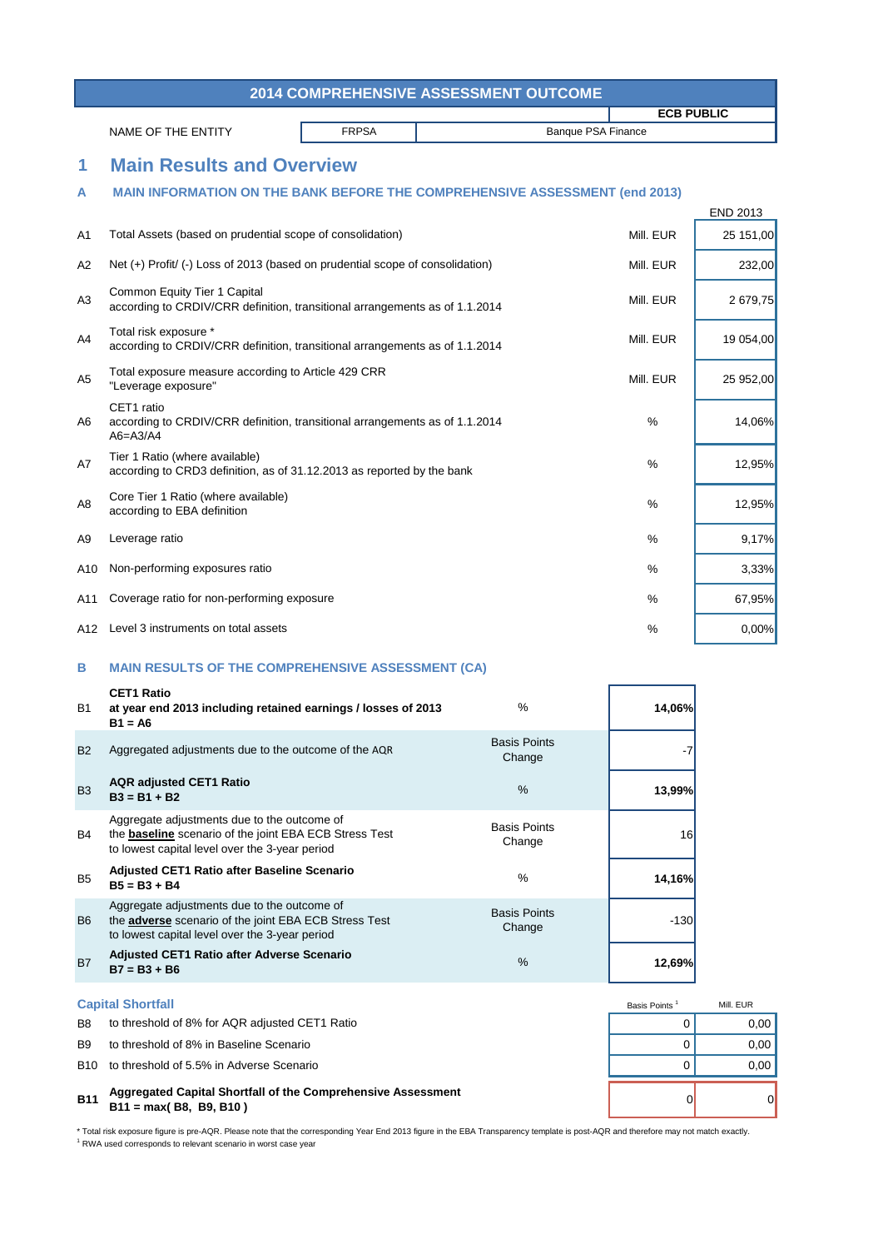\* Total risk exposure figure is pre-AQR. Please note that the corresponding Year End 2013 figure in the EBA Transparency template is post-AQR and therefore may not match exactly. <sup>1</sup> RWA used corresponds to relevant scenario in worst case year

# Basis Points<sup>1</sup> Mill. EUR

|                |                                                                                                                                                                |              | <b>2014 COMPREHENSIVE ASSESSMENT OUTCOME</b> |                           |                 |
|----------------|----------------------------------------------------------------------------------------------------------------------------------------------------------------|--------------|----------------------------------------------|---------------------------|-----------------|
|                |                                                                                                                                                                |              | <b>ECB PUBLIC</b>                            |                           |                 |
|                | NAME OF THE ENTITY                                                                                                                                             | <b>FRPSA</b> |                                              | <b>Banque PSA Finance</b> |                 |
| 1              | <b>Main Results and Overview</b>                                                                                                                               |              |                                              |                           |                 |
| A              | <b>MAIN INFORMATION ON THE BANK BEFORE THE COMPREHENSIVE ASSESSMENT (end 2013)</b>                                                                             |              |                                              |                           |                 |
|                |                                                                                                                                                                |              |                                              |                           | <b>END 2013</b> |
| A <sub>1</sub> | Total Assets (based on prudential scope of consolidation)                                                                                                      |              |                                              | Mill. EUR                 | 25 151,00       |
| A2             | Net (+) Profit/ (-) Loss of 2013 (based on prudential scope of consolidation)                                                                                  |              |                                              | Mill. EUR                 | 232,00          |
| A <sub>3</sub> | <b>Common Equity Tier 1 Capital</b><br>according to CRDIV/CRR definition, transitional arrangements as of 1.1.2014                                             |              |                                              | Mill. EUR                 | 2 679,75        |
| A4             | Total risk exposure *<br>according to CRDIV/CRR definition, transitional arrangements as of 1.1.2014                                                           |              |                                              | Mill. EUR                 | 19 054,00       |
| A <sub>5</sub> | Total exposure measure according to Article 429 CRR<br>"Leverage exposure"                                                                                     |              |                                              | Mill. EUR                 | 25 952,00       |
| A6             | CET1 ratio<br>according to CRDIV/CRR definition, transitional arrangements as of 1.1.2014<br>$A6 = A3/A4$                                                      |              |                                              | $\frac{0}{0}$             | 14,06%          |
| A7             | Tier 1 Ratio (where available)<br>according to CRD3 definition, as of 31.12.2013 as reported by the bank                                                       |              |                                              | $\%$                      | 12,95%          |
| A <sub>8</sub> | Core Tier 1 Ratio (where available)<br>according to EBA definition                                                                                             |              |                                              | $\%$                      | 12,95%          |
| A9             | Leverage ratio                                                                                                                                                 |              |                                              | $\%$                      | 9,17%           |
| A10            | Non-performing exposures ratio                                                                                                                                 |              |                                              | $\frac{0}{0}$             | 3,33%           |
| A11            | Coverage ratio for non-performing exposure                                                                                                                     |              |                                              | $\%$                      | 67,95%          |
| A12            | Level 3 instruments on total assets                                                                                                                            |              |                                              | $\frac{0}{0}$             | 0,00%           |
| B              | <b>MAIN RESULTS OF THE COMPREHENSIVE ASSESSMENT (CA)</b>                                                                                                       |              |                                              |                           |                 |
| <b>B1</b>      | <b>CET1 Ratio</b><br>at year end 2013 including retained earnings / losses of 2013<br>$B1 = A6$                                                                |              | %                                            | 14,06%                    |                 |
| <b>B2</b>      | Aggregated adjustments due to the outcome of the AQR                                                                                                           |              | <b>Basis Points</b><br>Change                | $-7$                      |                 |
| <b>B3</b>      | <b>AQR adjusted CET1 Ratio</b><br>$B3 = B1 + B2$                                                                                                               |              | $\%$                                         | 13,99%                    |                 |
| B4             | Aggregate adjustments due to the outcome of<br>the <b>baseline</b> scenario of the joint EBA ECB Stress Test<br>to lowest capital level over the 3-year period |              | <b>Basis Points</b><br>Change                | 16                        |                 |
| B <sub>5</sub> | <b>Adjusted CET1 Ratio after Baseline Scenario</b><br>$B5 = B3 + B4$                                                                                           |              | $\%$                                         | 14,16%                    |                 |
| B <sub>6</sub> | Aggregate adjustments due to the outcome of<br>the adverse scenario of the joint EBA ECB Stress Test<br>to lowest capital level over the 3-year period         |              | <b>Basis Points</b><br>Change                | $-130$                    |                 |

# B7 **12,69% Adjusted CET1 Ratio after Adverse Scenario B7 = B3 + B6** %

### **B11** 0 0 **Aggregated Capital Shortfall of the Comprehensive Assessment B11 = max( B8, B9, B10 )**

## **Capital Shortfall**

- B8 to threshold of 8% for AQR adjusted CET1 Ratio **EXAMPLE 10 CONSTRESS CONSTRESS OF A CONSTRESS CONSTRESS CONSTR**
- B9 to threshold of 8% in Baseline Scenario and the state of the state of the state of the state of the state of the state of the state of the state of the state of the state of the state of the state of the state of the st
- B10 to threshold of 5.5% in Adverse Scenario and the state of the state of the state of the state of the state of the state of the state of the state of the state of the state of the state of the state of the state of the